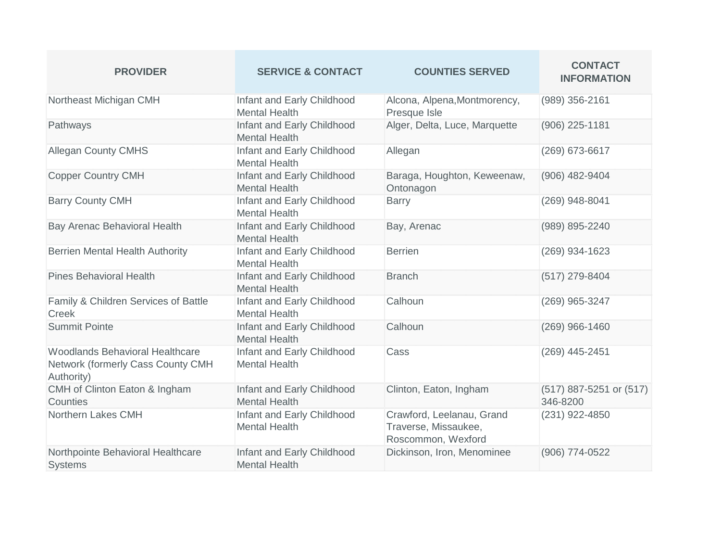| <b>PROVIDER</b>                                                                           | <b>SERVICE &amp; CONTACT</b>                       | <b>COUNTIES SERVED</b>                                                  | <b>CONTACT</b><br><b>INFORMATION</b> |
|-------------------------------------------------------------------------------------------|----------------------------------------------------|-------------------------------------------------------------------------|--------------------------------------|
| Northeast Michigan CMH                                                                    | Infant and Early Childhood<br><b>Mental Health</b> | Alcona, Alpena, Montmorency,<br>Presque Isle                            | (989) 356-2161                       |
| Pathways                                                                                  | Infant and Early Childhood<br><b>Mental Health</b> | Alger, Delta, Luce, Marquette                                           | (906) 225-1181                       |
| <b>Allegan County CMHS</b>                                                                | Infant and Early Childhood<br><b>Mental Health</b> | Allegan                                                                 | (269) 673-6617                       |
| <b>Copper Country CMH</b>                                                                 | Infant and Early Childhood<br><b>Mental Health</b> | Baraga, Houghton, Keweenaw,<br>Ontonagon                                | (906) 482-9404                       |
| <b>Barry County CMH</b>                                                                   | Infant and Early Childhood<br><b>Mental Health</b> | <b>Barry</b>                                                            | (269) 948-8041                       |
| Bay Arenac Behavioral Health                                                              | Infant and Early Childhood<br><b>Mental Health</b> | Bay, Arenac                                                             | (989) 895-2240                       |
| <b>Berrien Mental Health Authority</b>                                                    | Infant and Early Childhood<br><b>Mental Health</b> | <b>Berrien</b>                                                          | (269) 934-1623                       |
| <b>Pines Behavioral Health</b>                                                            | Infant and Early Childhood<br><b>Mental Health</b> | <b>Branch</b>                                                           | (517) 279-8404                       |
| Family & Children Services of Battle<br><b>Creek</b>                                      | Infant and Early Childhood<br><b>Mental Health</b> | Calhoun                                                                 | (269) 965-3247                       |
| <b>Summit Pointe</b>                                                                      | Infant and Early Childhood<br><b>Mental Health</b> | Calhoun                                                                 | (269) 966-1460                       |
| <b>Woodlands Behavioral Healthcare</b><br>Network (formerly Cass County CMH<br>Authority) | Infant and Early Childhood<br><b>Mental Health</b> | Cass                                                                    | (269) 445-2451                       |
| CMH of Clinton Eaton & Ingham<br>Counties                                                 | Infant and Early Childhood<br><b>Mental Health</b> | Clinton, Eaton, Ingham                                                  | (517) 887-5251 or (517)<br>346-8200  |
| Northern Lakes CMH                                                                        | Infant and Early Childhood<br><b>Mental Health</b> | Crawford, Leelanau, Grand<br>Traverse, Missaukee,<br>Roscommon, Wexford | (231) 922-4850                       |
| Northpointe Behavioral Healthcare<br><b>Systems</b>                                       | Infant and Early Childhood<br><b>Mental Health</b> | Dickinson, Iron, Menominee                                              | (906) 774-0522                       |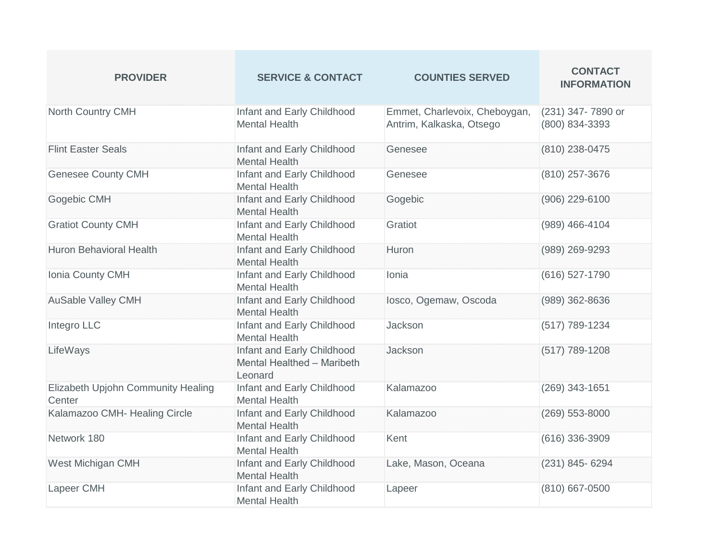| <b>PROVIDER</b>                              | <b>SERVICE &amp; CONTACT</b>                                        | <b>COUNTIES SERVED</b>                                    | <b>CONTACT</b><br><b>INFORMATION</b> |
|----------------------------------------------|---------------------------------------------------------------------|-----------------------------------------------------------|--------------------------------------|
| North Country CMH                            | Infant and Early Childhood<br><b>Mental Health</b>                  | Emmet, Charlevoix, Cheboygan,<br>Antrim, Kalkaska, Otsego | (231) 347-7890 or<br>(800) 834-3393  |
| <b>Flint Easter Seals</b>                    | Infant and Early Childhood<br><b>Mental Health</b>                  | Genesee                                                   | (810) 238-0475                       |
| <b>Genesee County CMH</b>                    | Infant and Early Childhood<br><b>Mental Health</b>                  | Genesee                                                   | (810) 257-3676                       |
| Gogebic CMH                                  | Infant and Early Childhood<br><b>Mental Health</b>                  | Gogebic                                                   | (906) 229-6100                       |
| <b>Gratiot County CMH</b>                    | Infant and Early Childhood<br><b>Mental Health</b>                  | Gratiot                                                   | (989) 466-4104                       |
| <b>Huron Behavioral Health</b>               | Infant and Early Childhood<br><b>Mental Health</b>                  | Huron                                                     | (989) 269-9293                       |
| Ionia County CMH                             | Infant and Early Childhood<br><b>Mental Health</b>                  | Ionia                                                     | (616) 527-1790                       |
| <b>AuSable Valley CMH</b>                    | Infant and Early Childhood<br><b>Mental Health</b>                  | losco, Ogemaw, Oscoda                                     | (989) 362-8636                       |
| Integro LLC                                  | Infant and Early Childhood<br><b>Mental Health</b>                  | Jackson                                                   | (517) 789-1234                       |
| LifeWays                                     | Infant and Early Childhood<br>Mental Healthed - Maribeth<br>Leonard | Jackson                                                   | (517) 789-1208                       |
| Elizabeth Upjohn Community Healing<br>Center | Infant and Early Childhood<br><b>Mental Health</b>                  | Kalamazoo                                                 | (269) 343-1651                       |
| Kalamazoo CMH- Healing Circle                | Infant and Early Childhood<br><b>Mental Health</b>                  | Kalamazoo                                                 | $(269)$ 553-8000                     |
| Network 180                                  | Infant and Early Childhood<br><b>Mental Health</b>                  | Kent                                                      | $(616)$ 336-3909                     |
| West Michigan CMH                            | Infant and Early Childhood<br><b>Mental Health</b>                  | Lake, Mason, Oceana                                       | (231) 845-6294                       |
| Lapeer CMH                                   | Infant and Early Childhood<br><b>Mental Health</b>                  | Lapeer                                                    | (810) 667-0500                       |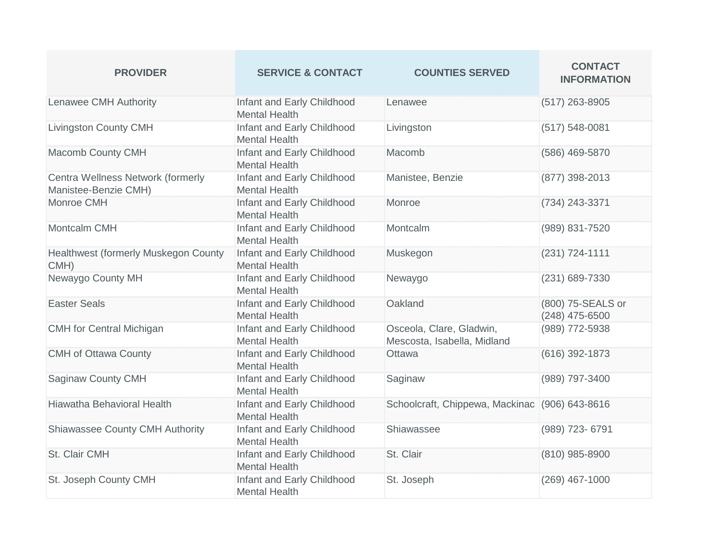| <b>PROVIDER</b>                                           | <b>SERVICE &amp; CONTACT</b>                       | <b>COUNTIES SERVED</b>                                  | <b>CONTACT</b><br><b>INFORMATION</b> |
|-----------------------------------------------------------|----------------------------------------------------|---------------------------------------------------------|--------------------------------------|
| <b>Lenawee CMH Authority</b>                              | Infant and Early Childhood<br><b>Mental Health</b> | Lenawee                                                 | $(517)$ 263-8905                     |
| <b>Livingston County CMH</b>                              | Infant and Early Childhood<br><b>Mental Health</b> | Livingston                                              | $(517) 548 - 0081$                   |
| Macomb County CMH                                         | Infant and Early Childhood<br><b>Mental Health</b> | Macomb                                                  | (586) 469-5870                       |
| Centra Wellness Network (formerly<br>Manistee-Benzie CMH) | Infant and Early Childhood<br><b>Mental Health</b> | Manistee, Benzie                                        | (877) 398-2013                       |
| Monroe CMH                                                | Infant and Early Childhood<br><b>Mental Health</b> | Monroe                                                  | (734) 243-3371                       |
| Montcalm CMH                                              | Infant and Early Childhood<br><b>Mental Health</b> | Montcalm                                                | (989) 831-7520                       |
| Healthwest (formerly Muskegon County<br>CMH)              | Infant and Early Childhood<br><b>Mental Health</b> | Muskegon                                                | (231) 724-1111                       |
| Newaygo County MH                                         | Infant and Early Childhood<br><b>Mental Health</b> | Newaygo                                                 | (231) 689-7330                       |
| <b>Easter Seals</b>                                       | Infant and Early Childhood<br><b>Mental Health</b> | Oakland                                                 | (800) 75-SEALS or<br>(248) 475-6500  |
| <b>CMH</b> for Central Michigan                           | Infant and Early Childhood<br><b>Mental Health</b> | Osceola, Clare, Gladwin,<br>Mescosta, Isabella, Midland | (989) 772-5938                       |
| <b>CMH of Ottawa County</b>                               | Infant and Early Childhood<br><b>Mental Health</b> | Ottawa                                                  | (616) 392-1873                       |
| Saginaw County CMH                                        | Infant and Early Childhood<br><b>Mental Health</b> | Saginaw                                                 | (989) 797-3400                       |
| Hiawatha Behavioral Health                                | Infant and Early Childhood<br><b>Mental Health</b> | Schoolcraft, Chippewa, Mackinac (906) 643-8616          |                                      |
| <b>Shiawassee County CMH Authority</b>                    | Infant and Early Childhood<br><b>Mental Health</b> | Shiawassee                                              | (989) 723- 6791                      |
| St. Clair CMH                                             | Infant and Early Childhood<br><b>Mental Health</b> | St. Clair                                               | (810) 985-8900                       |
| St. Joseph County CMH                                     | Infant and Early Childhood<br><b>Mental Health</b> | St. Joseph                                              | (269) 467-1000                       |